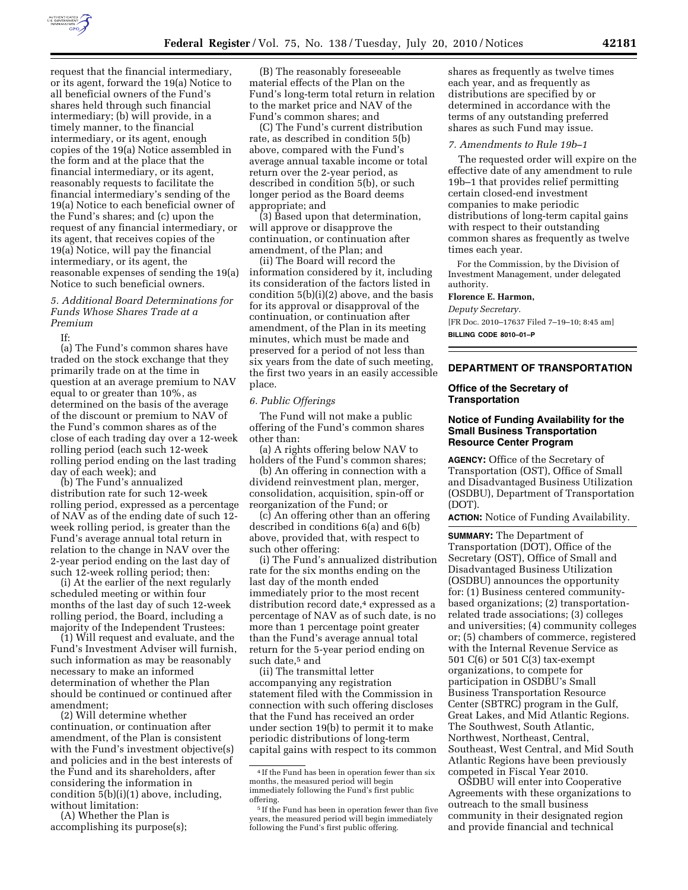

request that the financial intermediary, or its agent, forward the 19(a) Notice to all beneficial owners of the Fund's shares held through such financial intermediary; (b) will provide, in a timely manner, to the financial intermediary, or its agent, enough copies of the 19(a) Notice assembled in the form and at the place that the financial intermediary, or its agent, reasonably requests to facilitate the financial intermediary's sending of the 19(a) Notice to each beneficial owner of the Fund's shares; and (c) upon the request of any financial intermediary, or its agent, that receives copies of the 19(a) Notice, will pay the financial intermediary, or its agent, the reasonable expenses of sending the 19(a) Notice to such beneficial owners.

## *5. Additional Board Determinations for Funds Whose Shares Trade at a Premium*

If:

(a) The Fund's common shares have traded on the stock exchange that they primarily trade on at the time in question at an average premium to NAV equal to or greater than 10%, as determined on the basis of the average of the discount or premium to NAV of the Fund's common shares as of the close of each trading day over a 12-week rolling period (each such 12-week rolling period ending on the last trading day of each week); and

(b) The Fund's annualized distribution rate for such 12-week rolling period, expressed as a percentage of NAV as of the ending date of such 12 week rolling period, is greater than the Fund's average annual total return in relation to the change in NAV over the 2-year period ending on the last day of such 12-week rolling period; then:

(i) At the earlier of the next regularly scheduled meeting or within four months of the last day of such 12-week rolling period, the Board, including a majority of the Independent Trustees:

(1) Will request and evaluate, and the Fund's Investment Adviser will furnish, such information as may be reasonably necessary to make an informed determination of whether the Plan should be continued or continued after amendment;

(2) Will determine whether continuation, or continuation after amendment, of the Plan is consistent with the Fund's investment objective(s) and policies and in the best interests of the Fund and its shareholders, after considering the information in condition 5(b)(i)(1) above, including, without limitation:

(A) Whether the Plan is accomplishing its purpose(s);

(B) The reasonably foreseeable material effects of the Plan on the Fund's long-term total return in relation to the market price and NAV of the Fund's common shares; and

(C) The Fund's current distribution rate, as described in condition 5(b) above, compared with the Fund's average annual taxable income or total return over the 2-year period, as described in condition 5(b), or such longer period as the Board deems appropriate; and

(3) Based upon that determination, will approve or disapprove the continuation, or continuation after amendment, of the Plan; and

(ii) The Board will record the information considered by it, including its consideration of the factors listed in condition  $5(b)(i)(2)$  above, and the basis for its approval or disapproval of the continuation, or continuation after amendment, of the Plan in its meeting minutes, which must be made and preserved for a period of not less than six years from the date of such meeting, the first two years in an easily accessible place.

# *6. Public Offerings*

The Fund will not make a public offering of the Fund's common shares other than:

(a) A rights offering below NAV to holders of the Fund's common shares;

(b) An offering in connection with a dividend reinvestment plan, merger, consolidation, acquisition, spin-off or reorganization of the Fund; or

(c) An offering other than an offering described in conditions 6(a) and 6(b) above, provided that, with respect to such other offering:

(i) The Fund's annualized distribution rate for the six months ending on the last day of the month ended immediately prior to the most recent distribution record date,<sup>4</sup> expressed as a percentage of NAV as of such date, is no more than 1 percentage point greater than the Fund's average annual total return for the 5-year period ending on such date,<sup>5</sup> and

(ii) The transmittal letter accompanying any registration statement filed with the Commission in connection with such offering discloses that the Fund has received an order under section 19(b) to permit it to make periodic distributions of long-term capital gains with respect to its common

shares as frequently as twelve times each year, and as frequently as distributions are specified by or determined in accordance with the terms of any outstanding preferred shares as such Fund may issue.

#### *7. Amendments to Rule 19b–1*

The requested order will expire on the effective date of any amendment to rule 19b–1 that provides relief permitting certain closed-end investment companies to make periodic distributions of long-term capital gains with respect to their outstanding common shares as frequently as twelve times each year.

For the Commission, by the Division of Investment Management, under delegated authority.

# **Florence E. Harmon,**

*Deputy Secretary.*  [FR Doc. 2010–17637 Filed 7–19–10; 8:45 am] **BILLING CODE 8010–01–P** 

# **DEPARTMENT OF TRANSPORTATION**

# **Office of the Secretary of Transportation**

## **Notice of Funding Availability for the Small Business Transportation Resource Center Program**

**AGENCY:** Office of the Secretary of Transportation (OST), Office of Small and Disadvantaged Business Utilization (OSDBU), Department of Transportation (DOT).

**ACTION:** Notice of Funding Availability.

**SUMMARY:** The Department of Transportation (DOT), Office of the Secretary (OST), Office of Small and Disadvantaged Business Utilization (OSDBU) announces the opportunity for: (1) Business centered communitybased organizations; (2) transportationrelated trade associations; (3) colleges and universities; (4) community colleges or; (5) chambers of commerce, registered with the Internal Revenue Service as 501 C(6) or 501 C(3) tax-exempt organizations, to compete for participation in OSDBU's Small Business Transportation Resource Center (SBTRC) program in the Gulf, Great Lakes, and Mid Atlantic Regions. The Southwest, South Atlantic, Northwest, Northeast, Central, Southeast, West Central, and Mid South Atlantic Regions have been previously competed in Fiscal Year 2010.

OSDBU will enter into Cooperative Agreements with these organizations to outreach to the small business community in their designated region and provide financial and technical

<sup>4</sup> If the Fund has been in operation fewer than six months, the measured period will begin immediately following the Fund's first public offering.

<sup>5</sup> If the Fund has been in operation fewer than five years, the measured period will begin immediately following the Fund's first public offering.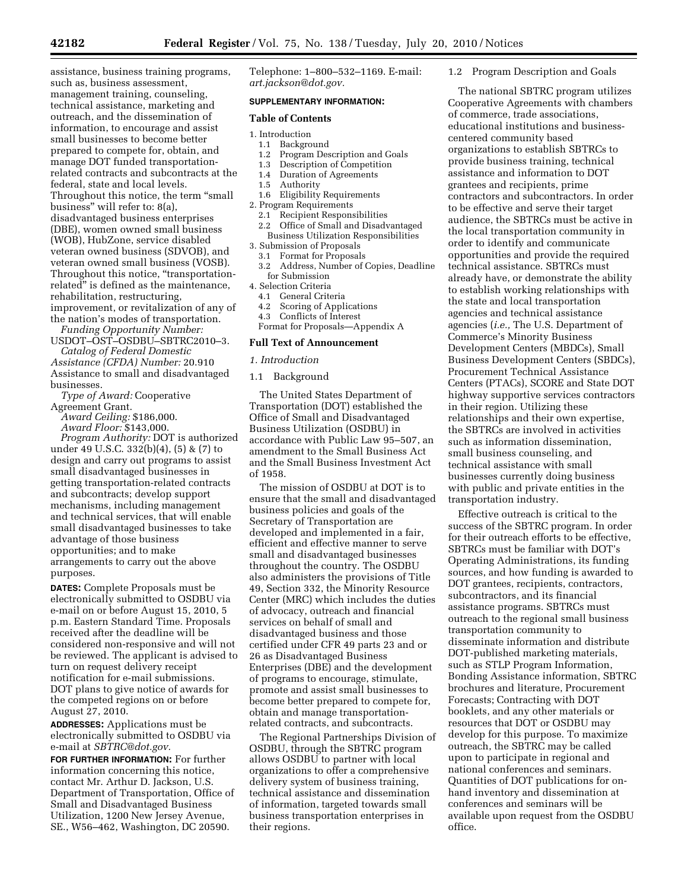assistance, business training programs, such as, business assessment, management training, counseling, technical assistance, marketing and outreach, and the dissemination of information, to encourage and assist small businesses to become better prepared to compete for, obtain, and manage DOT funded transportationrelated contracts and subcontracts at the federal, state and local levels. Throughout this notice, the term ''small business'' will refer to: 8(a), disadvantaged business enterprises (DBE), women owned small business (WOB), HubZone, service disabled veteran owned business (SDVOB), and veteran owned small business (VOSB). Throughout this notice, "transportationrelated'' is defined as the maintenance, rehabilitation, restructuring, improvement, or revitalization of any of the nation's modes of transportation.

*Funding Opportunity Number:*  USDOT–OST–OSDBU–SBTRC2010–3.

*Catalog of Federal Domestic Assistance (CFDA) Number:* 20.910 Assistance to small and disadvantaged businesses.

*Type of Award:* Cooperative Agreement Grant.

*Award Ceiling:* \$186,000.

*Award Floor:* \$143,000.

*Program Authority:* DOT is authorized under 49 U.S.C. 332(b)(4), (5) & (7) to design and carry out programs to assist small disadvantaged businesses in getting transportation-related contracts and subcontracts; develop support mechanisms, including management and technical services, that will enable small disadvantaged businesses to take advantage of those business opportunities; and to make arrangements to carry out the above purposes.

**DATES:** Complete Proposals must be electronically submitted to OSDBU via e-mail on or before August 15, 2010, 5 p.m. Eastern Standard Time. Proposals received after the deadline will be considered non-responsive and will not be reviewed. The applicant is advised to turn on request delivery receipt notification for e-mail submissions. DOT plans to give notice of awards for the competed regions on or before August 27, 2010.

**ADDRESSES:** Applications must be electronically submitted to OSDBU via e-mail at *SBTRC@dot.gov.* 

**FOR FURTHER INFORMATION:** For further information concerning this notice, contact Mr. Arthur D. Jackson, U.S. Department of Transportation, Office of Small and Disadvantaged Business Utilization, 1200 New Jersey Avenue, SE., W56–462, Washington, DC 20590.

Telephone: 1–800–532–1169. E-mail: *art.jackson@dot.gov.* 

#### **SUPPLEMENTARY INFORMATION:**

#### **Table of Contents**

- 1. Introduction
	- 1.1 Background<br>1.2 Program Des
	- Program Description and Goals
	- 1.3 Description of Competition
	- 1.4 Duration of Agreements 1.5 Authority
	- 1.6 Eligibility Requirements
- 2. Program Requirements
	-
	- 2.1 Recipient Responsibilities 2.2 Office of Small and Disadvantaged Business Utilization Responsibilities
- 3. Submission of Proposals
- 3.1 Format for Proposals
- 3.2 Address, Number of Copies, Deadline for Submission
- 4. Selection Criteria
	- 4.1 General Criteria
	- 4.2 Scoring of Applications
	- 4.3 Conflicts of Interest
	- Format for Proposals—Appendix A

### **Full Text of Announcement**

*1. Introduction* 

1.1 Background

The United States Department of Transportation (DOT) established the Office of Small and Disadvantaged Business Utilization (OSDBU) in accordance with Public Law 95–507, an amendment to the Small Business Act and the Small Business Investment Act of 1958.

The mission of OSDBU at DOT is to ensure that the small and disadvantaged business policies and goals of the Secretary of Transportation are developed and implemented in a fair, efficient and effective manner to serve small and disadvantaged businesses throughout the country. The OSDBU also administers the provisions of Title 49, Section 332, the Minority Resource Center (MRC) which includes the duties of advocacy, outreach and financial services on behalf of small and disadvantaged business and those certified under CFR 49 parts 23 and or 26 as Disadvantaged Business Enterprises (DBE) and the development of programs to encourage, stimulate, promote and assist small businesses to become better prepared to compete for, obtain and manage transportationrelated contracts, and subcontracts.

The Regional Partnerships Division of OSDBU, through the SBTRC program allows OSDBU to partner with local organizations to offer a comprehensive delivery system of business training, technical assistance and dissemination of information, targeted towards small business transportation enterprises in their regions.

1.2 Program Description and Goals

The national SBTRC program utilizes Cooperative Agreements with chambers of commerce, trade associations, educational institutions and businesscentered community based organizations to establish SBTRCs to provide business training, technical assistance and information to DOT grantees and recipients, prime contractors and subcontractors. In order to be effective and serve their target audience, the SBTRCs must be active in the local transportation community in order to identify and communicate opportunities and provide the required technical assistance. SBTRCs must already have, or demonstrate the ability to establish working relationships with the state and local transportation agencies and technical assistance agencies (*i.e.,* The U.S. Department of Commerce's Minority Business Development Centers (MBDCs), Small Business Development Centers (SBDCs), Procurement Technical Assistance Centers (PTACs), SCORE and State DOT highway supportive services contractors in their region. Utilizing these relationships and their own expertise, the SBTRCs are involved in activities such as information dissemination, small business counseling, and technical assistance with small businesses currently doing business with public and private entities in the transportation industry.

Effective outreach is critical to the success of the SBTRC program. In order for their outreach efforts to be effective, SBTRCs must be familiar with DOT's Operating Administrations, its funding sources, and how funding is awarded to DOT grantees, recipients, contractors, subcontractors, and its financial assistance programs. SBTRCs must outreach to the regional small business transportation community to disseminate information and distribute DOT-published marketing materials, such as STLP Program Information, Bonding Assistance information, SBTRC brochures and literature, Procurement Forecasts; Contracting with DOT booklets, and any other materials or resources that DOT or OSDBU may develop for this purpose. To maximize outreach, the SBTRC may be called upon to participate in regional and national conferences and seminars. Quantities of DOT publications for onhand inventory and dissemination at conferences and seminars will be available upon request from the OSDBU office.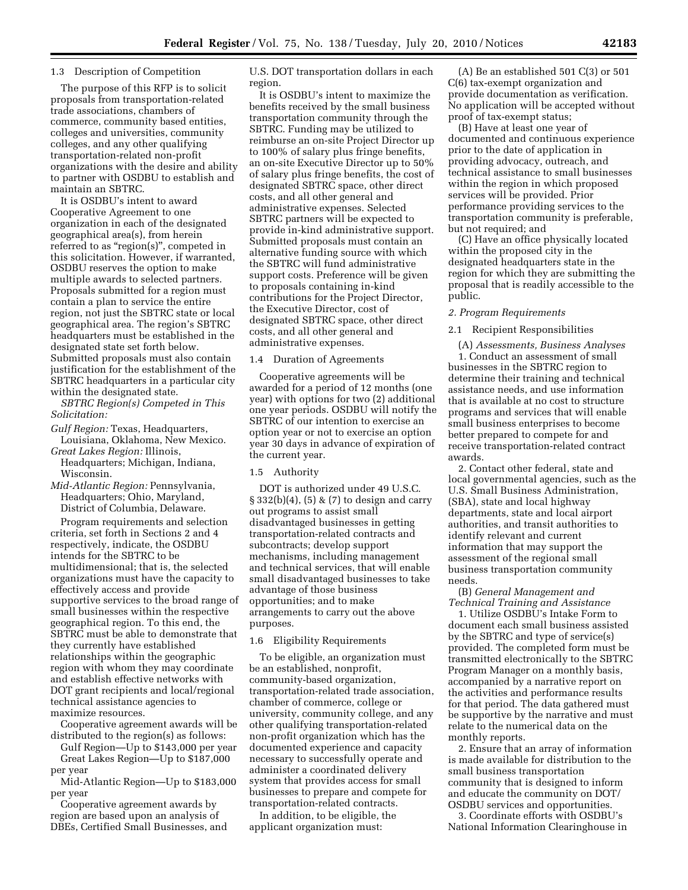### 1.3 Description of Competition

The purpose of this RFP is to solicit proposals from transportation-related trade associations, chambers of commerce, community based entities, colleges and universities, community colleges, and any other qualifying transportation-related non-profit organizations with the desire and ability to partner with OSDBU to establish and maintain an SBTRC.

It is OSDBU's intent to award Cooperative Agreement to one organization in each of the designated geographical area(s), from herein referred to as "region(s)", competed in this solicitation. However, if warranted, OSDBU reserves the option to make multiple awards to selected partners. Proposals submitted for a region must contain a plan to service the entire region, not just the SBTRC state or local geographical area. The region's SBTRC headquarters must be established in the designated state set forth below. Submitted proposals must also contain justification for the establishment of the SBTRC headquarters in a particular city within the designated state.

*SBTRC Region(s) Competed in This Solicitation:* 

*Gulf Region:* Texas, Headquarters, Louisiana, Oklahoma, New Mexico.

*Great Lakes Region:* Illinois, Headquarters; Michigan, Indiana, Wisconsin.

*Mid-Atlantic Region:* Pennsylvania, Headquarters; Ohio, Maryland, District of Columbia, Delaware.

Program requirements and selection criteria, set forth in Sections 2 and 4 respectively, indicate, the OSDBU intends for the SBTRC to be multidimensional; that is, the selected organizations must have the capacity to effectively access and provide supportive services to the broad range of small businesses within the respective geographical region. To this end, the SBTRC must be able to demonstrate that they currently have established relationships within the geographic region with whom they may coordinate and establish effective networks with DOT grant recipients and local/regional technical assistance agencies to maximize resources.

Cooperative agreement awards will be distributed to the region(s) as follows:

Gulf Region—Up to \$143,000 per year Great Lakes Region—Up to \$187,000 per year

Mid-Atlantic Region—Up to \$183,000 per year

Cooperative agreement awards by region are based upon an analysis of DBEs, Certified Small Businesses, and U.S. DOT transportation dollars in each region.

It is OSDBU's intent to maximize the benefits received by the small business transportation community through the SBTRC. Funding may be utilized to reimburse an on-site Project Director up to 100% of salary plus fringe benefits, an on-site Executive Director up to 50% of salary plus fringe benefits, the cost of designated SBTRC space, other direct costs, and all other general and administrative expenses. Selected SBTRC partners will be expected to provide in-kind administrative support. Submitted proposals must contain an alternative funding source with which the SBTRC will fund administrative support costs. Preference will be given to proposals containing in-kind contributions for the Project Director, the Executive Director, cost of designated SBTRC space, other direct costs, and all other general and administrative expenses.

1.4 Duration of Agreements

Cooperative agreements will be awarded for a period of 12 months (one year) with options for two (2) additional one year periods. OSDBU will notify the SBTRC of our intention to exercise an option year or not to exercise an option year 30 days in advance of expiration of the current year.

### 1.5 Authority

DOT is authorized under 49 U.S.C.  $\S 332(b)(4)$ ,  $\S 5 \& (7)$  to design and carry out programs to assist small disadvantaged businesses in getting transportation-related contracts and subcontracts; develop support mechanisms, including management and technical services, that will enable small disadvantaged businesses to take advantage of those business opportunities; and to make arrangements to carry out the above purposes.

# 1.6 Eligibility Requirements

To be eligible, an organization must be an established, nonprofit, community-based organization, transportation-related trade association, chamber of commerce, college or university, community college, and any other qualifying transportation-related non-profit organization which has the documented experience and capacity necessary to successfully operate and administer a coordinated delivery system that provides access for small businesses to prepare and compete for transportation-related contracts.

In addition, to be eligible, the applicant organization must:

(A) Be an established 501 C(3) or 501 C(6) tax-exempt organization and provide documentation as verification. No application will be accepted without proof of tax-exempt status;

(B) Have at least one year of documented and continuous experience prior to the date of application in providing advocacy, outreach, and technical assistance to small businesses within the region in which proposed services will be provided. Prior performance providing services to the transportation community is preferable, but not required; and

(C) Have an office physically located within the proposed city in the designated headquarters state in the region for which they are submitting the proposal that is readily accessible to the public.

# *2. Program Requirements*

2.1 Recipient Responsibilities

(A) *Assessments, Business Analyses*  1. Conduct an assessment of small businesses in the SBTRC region to determine their training and technical assistance needs, and use information that is available at no cost to structure programs and services that will enable small business enterprises to become better prepared to compete for and receive transportation-related contract awards.

2. Contact other federal, state and local governmental agencies, such as the U.S. Small Business Administration, (SBA), state and local highway departments, state and local airport authorities, and transit authorities to identify relevant and current information that may support the assessment of the regional small business transportation community needs.

(B) *General Management and Technical Training and Assistance* 

1. Utilize OSDBU's Intake Form to document each small business assisted by the SBTRC and type of service(s) provided. The completed form must be transmitted electronically to the SBTRC Program Manager on a monthly basis, accompanied by a narrative report on the activities and performance results for that period. The data gathered must be supportive by the narrative and must relate to the numerical data on the monthly reports.

2. Ensure that an array of information is made available for distribution to the small business transportation community that is designed to inform and educate the community on DOT/ OSDBU services and opportunities.

3. Coordinate efforts with OSDBU's National Information Clearinghouse in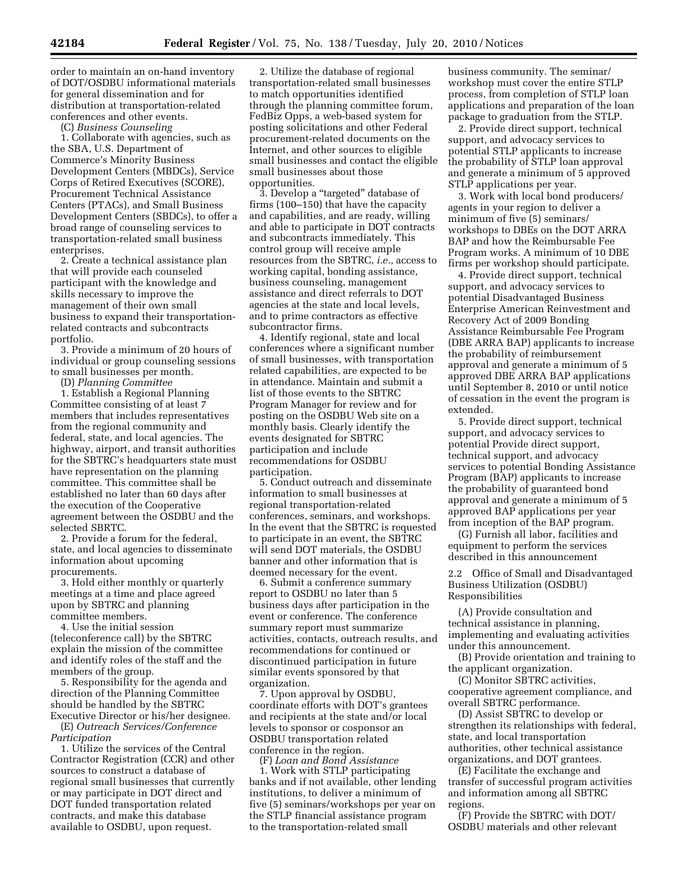order to maintain an on-hand inventory of DOT/OSDBU informational materials for general dissemination and for distribution at transportation-related conferences and other events.

(C) *Business Counseling* 

1. Collaborate with agencies, such as the SBA, U.S. Department of Commerce's Minority Business Development Centers (MBDCs), Service Corps of Retired Executives (SCORE), Procurement Technical Assistance Centers (PTACs), and Small Business Development Centers (SBDCs), to offer a broad range of counseling services to transportation-related small business enterprises.

2. Create a technical assistance plan that will provide each counseled participant with the knowledge and skills necessary to improve the management of their own small business to expand their transportationrelated contracts and subcontracts portfolio.

3. Provide a minimum of 20 hours of individual or group counseling sessions to small businesses per month.

(D) *Planning Committee* 

1. Establish a Regional Planning Committee consisting of at least 7 members that includes representatives from the regional community and federal, state, and local agencies. The highway, airport, and transit authorities for the SBTRC's headquarters state must have representation on the planning committee. This committee shall be established no later than 60 days after the execution of the Cooperative agreement between the OSDBU and the selected SBRTC.

2. Provide a forum for the federal, state, and local agencies to disseminate information about upcoming procurements.

3. Hold either monthly or quarterly meetings at a time and place agreed upon by SBTRC and planning committee members.

4. Use the initial session (teleconference call) by the SBTRC explain the mission of the committee and identify roles of the staff and the members of the group.

5. Responsibility for the agenda and direction of the Planning Committee should be handled by the SBTRC Executive Director or his/her designee. (E) *Outreach Services/Conference* 

*Participation* 

1. Utilize the services of the Central Contractor Registration (CCR) and other sources to construct a database of regional small businesses that currently or may participate in DOT direct and DOT funded transportation related contracts, and make this database available to OSDBU, upon request.

2. Utilize the database of regional transportation-related small businesses to match opportunities identified through the planning committee forum, FedBiz Opps, a web-based system for posting solicitations and other Federal procurement-related documents on the Internet, and other sources to eligible small businesses and contact the eligible small businesses about those opportunities.

3. Develop a "targeted" database of firms (100–150) that have the capacity and capabilities, and are ready, willing and able to participate in DOT contracts and subcontracts immediately. This control group will receive ample resources from the SBTRC, *i.e.,* access to working capital, bonding assistance, business counseling, management assistance and direct referrals to DOT agencies at the state and local levels, and to prime contractors as effective subcontractor firms.

4. Identify regional, state and local conferences where a significant number of small businesses, with transportation related capabilities, are expected to be in attendance. Maintain and submit a list of those events to the SBTRC Program Manager for review and for posting on the OSDBU Web site on a monthly basis. Clearly identify the events designated for SBTRC participation and include recommendations for OSDBU participation.

5. Conduct outreach and disseminate information to small businesses at regional transportation-related conferences, seminars, and workshops. In the event that the SBTRC is requested to participate in an event, the SBTRC will send DOT materials, the OSDBU banner and other information that is deemed necessary for the event.

6. Submit a conference summary report to OSDBU no later than 5 business days after participation in the event or conference. The conference summary report must summarize activities, contacts, outreach results, and recommendations for continued or discontinued participation in future similar events sponsored by that organization.

7. Upon approval by OSDBU, coordinate efforts with DOT's grantees and recipients at the state and/or local levels to sponsor or cosponsor an OSDBU transportation related conference in the region.

(F) *Loan and Bond Assistance*  1. Work with STLP participating banks and if not available, other lending institutions, to deliver a minimum of five (5) seminars/workshops per year on the STLP financial assistance program to the transportation-related small

business community. The seminar/ workshop must cover the entire STLP process, from completion of STLP loan applications and preparation of the loan package to graduation from the STLP.

2. Provide direct support, technical support, and advocacy services to potential STLP applicants to increase the probability of STLP loan approval and generate a minimum of 5 approved STLP applications per year.

3. Work with local bond producers/ agents in your region to deliver a minimum of five (5) seminars/ workshops to DBEs on the DOT ARRA BAP and how the Reimbursable Fee Program works. A minimum of 10 DBE firms per workshop should participate.

4. Provide direct support, technical support, and advocacy services to potential Disadvantaged Business Enterprise American Reinvestment and Recovery Act of 2009 Bonding Assistance Reimbursable Fee Program (DBE ARRA BAP) applicants to increase the probability of reimbursement approval and generate a minimum of 5 approved DBE ARRA BAP applications until September 8, 2010 or until notice of cessation in the event the program is extended.

5. Provide direct support, technical support, and advocacy services to potential Provide direct support, technical support, and advocacy services to potential Bonding Assistance Program (BAP) applicants to increase the probability of guaranteed bond approval and generate a minimum of 5 approved BAP applications per year from inception of the BAP program.

(G) Furnish all labor, facilities and equipment to perform the services described in this announcement

2.2 Office of Small and Disadvantaged Business Utilization (OSDBU) Responsibilities

(A) Provide consultation and technical assistance in planning, implementing and evaluating activities under this announcement.

(B) Provide orientation and training to the applicant organization.

(C) Monitor SBTRC activities, cooperative agreement compliance, and overall SBTRC performance.

(D) Assist SBTRC to develop or strengthen its relationships with federal, state, and local transportation authorities, other technical assistance organizations, and DOT grantees.

(E) Facilitate the exchange and transfer of successful program activities and information among all SBTRC regions.

(F) Provide the SBTRC with DOT/ OSDBU materials and other relevant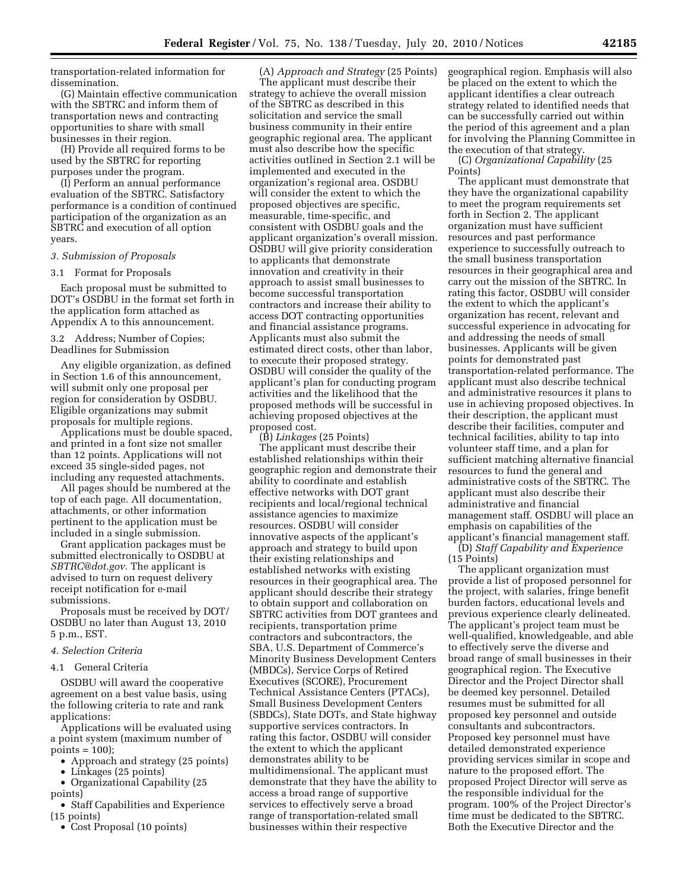transportation-related information for dissemination.

(G) Maintain effective communication with the SBTRC and inform them of transportation news and contracting opportunities to share with small businesses in their region.

(H) Provide all required forms to be used by the SBTRC for reporting purposes under the program.

(I) Perform an annual performance evaluation of the SBTRC. Satisfactory performance is a condition of continued participation of the organization as an SBTRC and execution of all option years.

#### *3. Submission of Proposals*

#### 3.1 Format for Proposals

Each proposal must be submitted to DOT's OSDBU in the format set forth in the application form attached as Appendix A to this announcement.

3.2 Address; Number of Copies; Deadlines for Submission

Any eligible organization, as defined in Section 1.6 of this announcement, will submit only one proposal per region for consideration by OSDBU. Eligible organizations may submit proposals for multiple regions.

Applications must be double spaced, and printed in a font size not smaller than 12 points. Applications will not exceed 35 single-sided pages, not including any requested attachments.

All pages should be numbered at the top of each page. All documentation, attachments, or other information pertinent to the application must be included in a single submission.

Grant application packages must be submitted electronically to OSDBU at *SBTRC@dot.gov.* The applicant is advised to turn on request delivery receipt notification for e-mail submissions.

Proposals must be received by DOT/ OSDBU no later than August 13, 2010 5 p.m., EST.

### *4. Selection Criteria*

## 4.1 General Criteria

OSDBU will award the cooperative agreement on a best value basis, using the following criteria to rate and rank applications:

Applications will be evaluated using a point system (maximum number of points  $= 100$ ;

- Approach and strategy (25 points)
- Linkages (25 points)
- Organizational Capability (25 points)

• Staff Capabilities and Experience (15 points)

• Cost Proposal (10 points)

(A) *Approach and Strategy* (25 Points) The applicant must describe their strategy to achieve the overall mission of the SBTRC as described in this solicitation and service the small business community in their entire geographic regional area. The applicant must also describe how the specific activities outlined in Section 2.1 will be implemented and executed in the organization's regional area. OSDBU will consider the extent to which the proposed objectives are specific, measurable, time-specific, and consistent with OSDBU goals and the applicant organization's overall mission. OSDBU will give priority consideration to applicants that demonstrate innovation and creativity in their approach to assist small businesses to become successful transportation contractors and increase their ability to access DOT contracting opportunities and financial assistance programs. Applicants must also submit the estimated direct costs, other than labor, to execute their proposed strategy. OSDBU will consider the quality of the applicant's plan for conducting program activities and the likelihood that the proposed methods will be successful in achieving proposed objectives at the proposed cost. (B) *Linkages* (25 Points)

The applicant must describe their established relationships within their geographic region and demonstrate their ability to coordinate and establish effective networks with DOT grant recipients and local/regional technical assistance agencies to maximize resources. OSDBU will consider innovative aspects of the applicant's approach and strategy to build upon their existing relationships and established networks with existing resources in their geographical area. The applicant should describe their strategy to obtain support and collaboration on SBTRC activities from DOT grantees and recipients, transportation prime contractors and subcontractors, the SBA, U.S. Department of Commerce's Minority Business Development Centers (MBDCs), Service Corps of Retired Executives (SCORE), Procurement Technical Assistance Centers (PTACs), Small Business Development Centers (SBDCs), State DOTs, and State highway supportive services contractors. In rating this factor, OSDBU will consider the extent to which the applicant demonstrates ability to be multidimensional. The applicant must demonstrate that they have the ability to access a broad range of supportive services to effectively serve a broad range of transportation-related small businesses within their respective

geographical region. Emphasis will also be placed on the extent to which the applicant identifies a clear outreach strategy related to identified needs that can be successfully carried out within the period of this agreement and a plan for involving the Planning Committee in the execution of that strategy.

(C) *Organizational Capability* (25 Points)

The applicant must demonstrate that they have the organizational capability to meet the program requirements set forth in Section 2. The applicant organization must have sufficient resources and past performance experience to successfully outreach to the small business transportation resources in their geographical area and carry out the mission of the SBTRC. In rating this factor, OSDBU will consider the extent to which the applicant's organization has recent, relevant and successful experience in advocating for and addressing the needs of small businesses. Applicants will be given points for demonstrated past transportation-related performance. The applicant must also describe technical and administrative resources it plans to use in achieving proposed objectives. In their description, the applicant must describe their facilities, computer and technical facilities, ability to tap into volunteer staff time, and a plan for sufficient matching alternative financial resources to fund the general and administrative costs of the SBTRC. The applicant must also describe their administrative and financial management staff. OSDBU will place an emphasis on capabilities of the applicant's financial management staff.

(D) *Staff Capability and Experience*  (15 Points)

The applicant organization must provide a list of proposed personnel for the project, with salaries, fringe benefit burden factors, educational levels and previous experience clearly delineated. The applicant's project team must be well-qualified, knowledgeable, and able to effectively serve the diverse and broad range of small businesses in their geographical region. The Executive Director and the Project Director shall be deemed key personnel. Detailed resumes must be submitted for all proposed key personnel and outside consultants and subcontractors. Proposed key personnel must have detailed demonstrated experience providing services similar in scope and nature to the proposed effort. The proposed Project Director will serve as the responsible individual for the program. 100% of the Project Director's time must be dedicated to the SBTRC. Both the Executive Director and the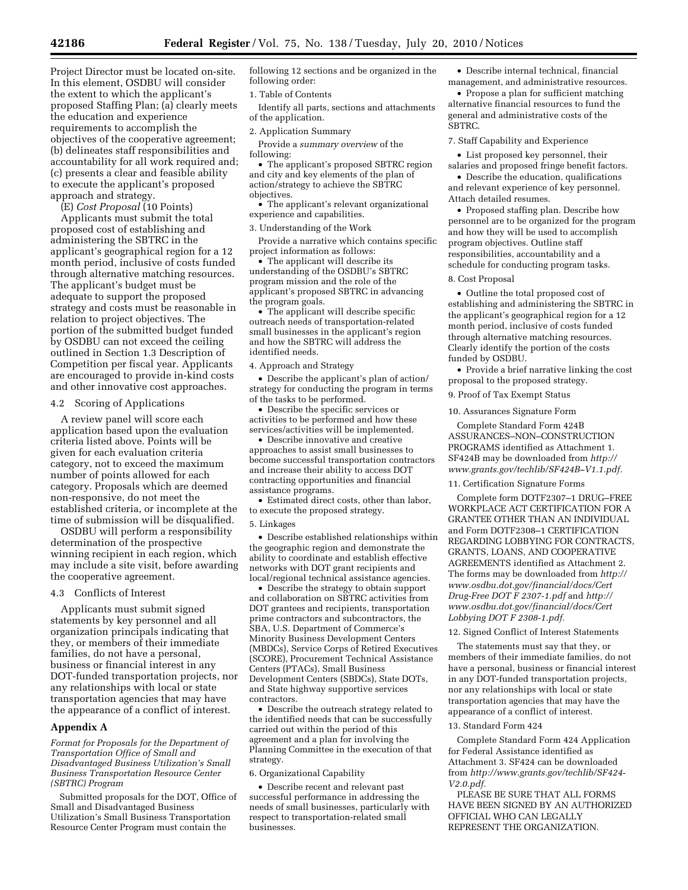Project Director must be located on-site. In this element, OSDBU will consider the extent to which the applicant's proposed Staffing Plan; (a) clearly meets the education and experience requirements to accomplish the objectives of the cooperative agreement; (b) delineates staff responsibilities and accountability for all work required and; (c) presents a clear and feasible ability to execute the applicant's proposed approach and strategy.

(E) *Cost Proposal* (10 Points) Applicants must submit the total proposed cost of establishing and administering the SBTRC in the applicant's geographical region for a 12 month period, inclusive of costs funded through alternative matching resources. The applicant's budget must be adequate to support the proposed strategy and costs must be reasonable in relation to project objectives. The portion of the submitted budget funded by OSDBU can not exceed the ceiling outlined in Section 1.3 Description of Competition per fiscal year. Applicants are encouraged to provide in-kind costs and other innovative cost approaches.

## 4.2 Scoring of Applications

A review panel will score each application based upon the evaluation criteria listed above. Points will be given for each evaluation criteria category, not to exceed the maximum number of points allowed for each category. Proposals which are deemed non-responsive, do not meet the established criteria, or incomplete at the time of submission will be disqualified.

OSDBU will perform a responsibility determination of the prospective winning recipient in each region, which may include a site visit, before awarding the cooperative agreement.

### 4.3 Conflicts of Interest

Applicants must submit signed statements by key personnel and all organization principals indicating that they, or members of their immediate families, do not have a personal, business or financial interest in any DOT-funded transportation projects, nor any relationships with local or state transportation agencies that may have the appearance of a conflict of interest.

# **Appendix A**

*Format for Proposals for the Department of Transportation Office of Small and Disadvantaged Business Utilization's Small Business Transportation Resource Center (SBTRC) Program* 

Submitted proposals for the DOT, Office of Small and Disadvantaged Business Utilization's Small Business Transportation Resource Center Program must contain the

following 12 sections and be organized in the following order:

#### 1. Table of Contents

Identify all parts, sections and attachments of the application.

## 2. Application Summary

Provide a *summary overview* of the following:

• The applicant's proposed SBTRC region and city and key elements of the plan of action/strategy to achieve the SBTRC objectives.

• The applicant's relevant organizational experience and capabilities.

### 3. Understanding of the Work

Provide a narrative which contains specific project information as follows:

• The applicant will describe its understanding of the OSDBU's SBTRC program mission and the role of the applicant's proposed SBTRC in advancing the program goals.

• The applicant will describe specific outreach needs of transportation-related small businesses in the applicant's region and how the SBTRC will address the identified needs.

### 4. Approach and Strategy

• Describe the applicant's plan of action/ strategy for conducting the program in terms of the tasks to be performed.

• Describe the specific services or activities to be performed and how these services/activities will be implemented.

• Describe innovative and creative approaches to assist small businesses to become successful transportation contractors and increase their ability to access DOT contracting opportunities and financial assistance programs.

• Estimated direct costs, other than labor, to execute the proposed strategy.

#### 5. Linkages

• Describe established relationships within the geographic region and demonstrate the ability to coordinate and establish effective networks with DOT grant recipients and local/regional technical assistance agencies.

• Describe the strategy to obtain support and collaboration on SBTRC activities from DOT grantees and recipients, transportation prime contractors and subcontractors, the SBA, U.S. Department of Commerce's Minority Business Development Centers (MBDCs), Service Corps of Retired Executives (SCORE), Procurement Technical Assistance Centers (PTACs), Small Business Development Centers (SBDCs), State DOTs, and State highway supportive services contractors.

• Describe the outreach strategy related to the identified needs that can be successfully carried out within the period of this agreement and a plan for involving the Planning Committee in the execution of that strategy.

### 6. Organizational Capability

• Describe recent and relevant past successful performance in addressing the needs of small businesses, particularly with respect to transportation-related small businesses.

• Describe internal technical, financial management, and administrative resources.

• Propose a plan for sufficient matching alternative financial resources to fund the general and administrative costs of the SBTRC.

## 7. Staff Capability and Experience

• List proposed key personnel, their salaries and proposed fringe benefit factors.

• Describe the education, qualifications and relevant experience of key personnel. Attach detailed resumes.

• Proposed staffing plan. Describe how personnel are to be organized for the program and how they will be used to accomplish program objectives. Outline staff responsibilities, accountability and a schedule for conducting program tasks.

# 8. Cost Proposal

• Outline the total proposed cost of establishing and administering the SBTRC in the applicant's geographical region for a 12 month period, inclusive of costs funded through alternative matching resources. Clearly identify the portion of the costs funded by OSDBU.

• Provide a brief narrative linking the cost proposal to the proposed strategy.

9. Proof of Tax Exempt Status

#### 10. Assurances Signature Form

Complete Standard Form 424B ASSURANCES–NON–CONSTRUCTION PROGRAMS identified as Attachment 1. SF424B may be downloaded from *http:// www.grants.gov/techlib/SF424B–V1.1.pdf.* 

11. Certification Signature Forms

Complete form DOTF2307–1 DRUG–FREE WORKPLACE ACT CERTIFICATION FOR A GRANTEE OTHER THAN AN INDIVIDUAL and Form DOTF2308–1 CERTIFICATION REGARDING LOBBYING FOR CONTRACTS, GRANTS, LOANS, AND COOPERATIVE AGREEMENTS identified as Attachment 2. The forms may be downloaded from *http:// www.osdbu.dot.gov/financial/docs/Cert Drug-Free DOT F 2307-1.pdf* and *http:// www.osdbu.dot.gov/financial/docs/Cert Lobbying DOT F 2308-1.pdf.* 

12. Signed Conflict of Interest Statements

The statements must say that they, or members of their immediate families, do not have a personal, business or financial interest in any DOT-funded transportation projects, nor any relationships with local or state transportation agencies that may have the appearance of a conflict of interest.

#### 13. Standard Form 424

Complete Standard Form 424 Application for Federal Assistance identified as Attachment 3. SF424 can be downloaded from *http://www.grants.gov/techlib/SF424- V2.0.pdf.* 

PLEASE BE SURE THAT ALL FORMS HAVE BEEN SIGNED BY AN AUTHORIZED OFFICIAL WHO CAN LEGALLY REPRESENT THE ORGANIZATION.